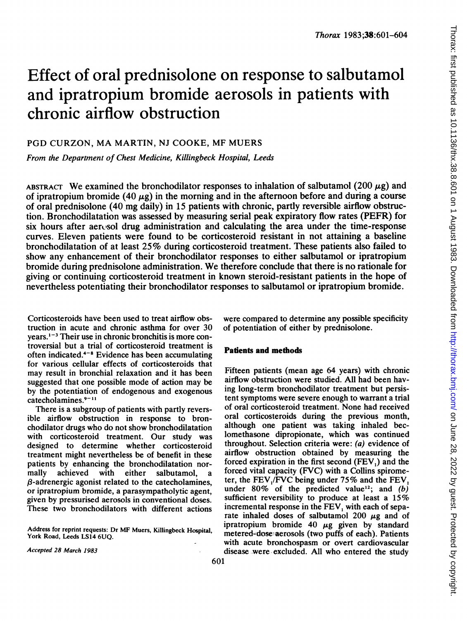# Effect of oral prednisolone on response to salbutamol and ipratropium bromide aerosols in patients with chronic airflow obstruction

## PGD CURZON, MA MARTIN, NJ COOKE, MF MUERS

From the Department of Chest Medicine, Killingbeck Hospital, Leeds

ABSTRACT We examined the bronchodilator responses to inhalation of salbutamol (200  $\mu$ g) and of ipratropium bromide (40  $\mu$ g) in the morning and in the afternoon before and during a course of oral prednisolone (40 mg daily) in 15 patients with chronic, partly reversible airflow obstruction. Bronchodilatation was assessed by measuring serial peak expiratory flow rates (PEFR) for six hours after aeresol drug administration and calculating the area under the time-response curves. Eleven patients were found to be corticosteroid resistant in not attaining a baseline bronchodilatation of at least 25% during corticosteroid treatment. These patients also failed to show any enhancement of their bronchodilator responses to either salbutamol or ipratropium bromide during prednisolone administration. We therefore conclude that there is no rationale for giving or continuing corticosteroid treatment in known steroid-resistant patients in the hope of nevertheless potentiating their bronchodilator responses to salbutamol or ipratropium bromide.

Corticosteroids have been used to treat airflow obstruction in acute and chronic asthma for over 30  $years.<sup>1-3</sup>$  Their use in chronic bronchitis is more controversial but a trial of corticosteroid treatment is often indicated. $4-8$  Evidence has been accumulating for various cellular effects of corticosteroids that may result in bronchial relaxation and it has been suggested that one possible mode of action may be by the potentiation of endogenous and exogenous  $catecholamines.<sup>9-11</sup>$ 

There is a subgroup of patients with partly reversible airflow obstruction in response to bronchodilator drugs who do not show bronchodilatation with corticosteroid treatment. Our study was designed to determine whether corticosteroid treatment might nevertheless be of benefit in these patients by enhancing the bronchodilatation nor-<br>mally achieved with either salbutamol, a mally achieved with either salbutamol.  $\beta$ -adrenergic agonist related to the catecholamines, or ipratropium bromide, a parasympatholytic agent, given by pressurised aerosols in conventional doses. These two bronchodilators with different actions

Address for reprint requests: Dr MF Muers, Killingbeck Hospital, York Road, Leeds LS14 6UQ.

were compared to determine any possible specificity of potentiation of either by prednisolone.

#### Patients and methods

Fifteen patients (mean age 64 years) with chronic airflow obstruction were studied. All had been having long-term bronchodilator treatment but persistent symptoms were severe enough to warrant a trial of oral corticosteroid treatment. None had received oral corticosteroids during the previous month, although one patient was taking inhaled beclomethasone dipropionate, which was continued throughout. Selection criteria were: (a) evidence of airflow obstruction obtained by measuring the forced expiration in the first second (FEV,) and the forced vital capacity (FVC) with a Collins spirometer, the FEV,/FVC being under 75% and the FEV, under  $80\%$  of the predicted value<sup>12</sup>; and (b) sufficient reversibility to produce at least a 15% incremental response in the FEV, with each of separate inhaled doses of salbutamol  $200 \mu$ g and of ipratropium bromide 40  $\mu$ g given by standard metered-dose aerosols (two puffs of each). Patients with acute bronchospasm or overt cardiovascular disease were excluded. All who entered the study

Accepted 28 March 1983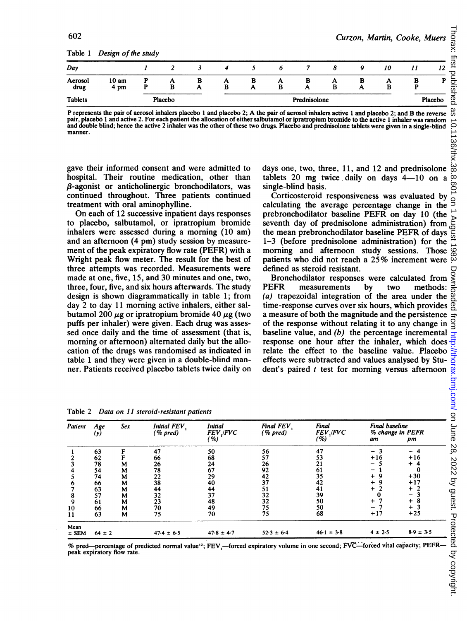Table <sup>1</sup> Design of the study

| Day             | . .<br>. .               | . . |         |        |   |        | o      |              | σ      |   | 10     | 11     | 12      |  |
|-----------------|--------------------------|-----|---------|--------|---|--------|--------|--------------|--------|---|--------|--------|---------|--|
| Aerosol<br>drug | 10 <sub>am</sub><br>4 pm |     | Α<br>в  | в<br>A | в | в<br>A | A<br>в | в<br>n       | A<br>B | A | n<br>В | в<br>D | D       |  |
| <b>Tablets</b>  |                          |     | Placebo |        |   |        |        | Prednisolone |        |   |        |        | Placebo |  |

P represents the pair of aerosol inhalers placebo <sup>1</sup> and placebo 2; A the pair of aerosol inhalers active <sup>1</sup> and placebo 2; and B the reverse pair, placebo <sup>1</sup> and active 2. For each patient the allocation of either salbutamol or ipratropium bromide to the active <sup>1</sup> inhaler was random and double blind; hence the active 2 inhaler was the other of these two drugs. Placebo and prednisolone tablets were given in a single-blind manner.

gave their informed consent and were admitted to hospital. Their routine medication, other than  $\beta$ -agonist or anticholinergic bronchodilators, was continued throughout. Three patients continued treatment with oral aminophylline.

On each of 12 successive inpatient days responses to placebo, salbutamol, or ipratropium bromide inhalers were assessed during a morning (10 am) and an afternoon (4 pm) study session by measurement of the peak expiratory flow rate (PEFR) with a Wright peak flow meter. The result for the best of three attempts was recorded. Measurements were made at one, five, 15, and 30 minutes and one, two, three, four, five, and six hours afterwards. The study design is shown diagrammatically in table 1; from day 2 to day 11 morning active inhalers, either salbutamol 200  $\mu$ g or ipratropium bromide 40  $\mu$ g (two puffs per inhaler) were given. Each drug was assessed once daily and the time of assessment (that is, morning or afternoon) alternated daily but the allocation of the drugs was randomised as indicated in table <sup>1</sup> and they were given in a double-blind manner. Patients received placebo tablets twice daily on days one, two, three, 11, and 12 and prednisolone tablets 20 mg twice daily on days  $4-10$  on a single-blind basis.

Corticosteroid responsiveness was evaluated by calculating the average percentage change in the prebronchodilator baseline PEFR on day 10 (the seventh day of prednisolone administration) from the mean prebronchodilator baseline PEFR of days 1-3 (before prednisolone administration) for the morning and afternoon study sessions. Those patients who did not reach <sup>a</sup> 25% increment were defined as steroid resistant.

Bronchodilator responses were calculated from PEFR measurements by two methods: (a) trapezoidal integration of the area under the time-response curves over six hours, which provides a measure of both the magnitude and the persistence of the response without relating it to any change in baseline value, and  $(b)$  the percentage incremental response one hour after the inhaler, which does effects were subtracted and values analysed by Student's paired  $t$  test for morning versus afternoon

| Data on 11 steroid-resistant patients<br>Table 2 |            |        |                         |                            |                       |                                   |                                          |                    |
|--------------------------------------------------|------------|--------|-------------------------|----------------------------|-----------------------|-----------------------------------|------------------------------------------|--------------------|
| Patient                                          | Age<br>(y) | Sex    | Initial FEV<br>(% pred) | Initial<br>FEV FVC<br>( %) | Final FEV<br>(% pred) | Final<br><i>FEV ,IFVC</i><br>( %) | Final baseline<br>% change in PEFR<br>am | pm                 |
|                                                  | 63         | F      | 47                      | 50                         | 56                    | 47                                | $-3$                                     | - 4                |
| 2<br>3                                           | 62<br>78   | F<br>M | 66<br>26                | 68<br>24                   | 57<br>26              | 53<br>21                          | $+16$<br>5                               | $+16$<br>-4        |
| 4                                                | 54         | M      | 78                      | 67                         | 92                    | 61                                | 1                                        | 0                  |
| 5                                                | 74         | М      | 22                      | 29                         | 42                    | 35                                | $+9$                                     | $+30$              |
| 6                                                | 66         | M      | 38                      | 40                         | 37                    | 42                                | $+9$                                     | $+17$              |
| 7                                                | 63         | M      | 44                      | 44                         | 51                    | 41                                | $+2$                                     | 2                  |
| 8                                                | 57         | М      | 32                      | 37                         | $\frac{32}{32}$       | 39                                | 0                                        | 3                  |
| 9                                                | 61         | М      | 23                      | 48                         | 75                    | 50<br>50                          | $+7$<br>$-7$                             | 8<br>$\ddag$<br>-3 |
| 10<br>11                                         | 66<br>63   | М<br>M | 70<br>75                | 49<br>70                   | 75                    | 68                                | $+17$                                    | $+25$              |
| Mean<br>$±$ SEM                                  | $64 \pm 2$ |        | $47.4 \pm 6.5$          | $47.8 \pm 4.7$             | $52.3 \pm 6.4$        | $46.1 \pm 3.8$                    | $4 \pm 2.5$                              | $8.9 \pm 3.5$      |

Table 2 Data on 11 steroid-resistant patients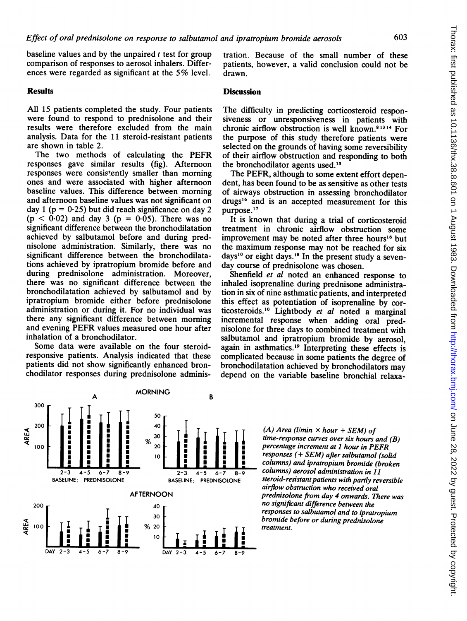baseline values and by the unpaired  $t$  test for group comparison of responses to aerosol inhalers. Differences were regarded as significant at the 5% level.

### Results

All 15 patients completed the study. Four patients were found to respond to prednisolone and their results were therefore excluded from the main analysis. Data for the 11 steroid-resistant patients are shown in table 2.

The two methods of calculating the PEFR responses gave similar results (fig). Afternoon responses were consistently smaller than morning ones and were associated with higher afternoon baseline values. This difference between morning and afternoon baseline values was not significant on day 1 ( $p = 0.25$ ) but did reach significance on day 2  $(p < 0.02)$  and day 3  $(p = 0.05)$ . There was no significant difference between the bronchodilatation achieved by salbutamol before and during prednisolone administration. Similarly, there was no significant difference between the bronchodilatations achieved by ipratropium bromide before and during prednisolone administration. Moreover, there was no significant difference between the bronchodilatation achieved by salbutamol and by ipratropium bromide either before prednisolone administration or during it. For no individual was there any significant difference between morning and evening PEFR values measured one hour after inhalation of a bronchodilator.

Some data were available on the four steroidresponsive patients. Analysis indicated that these patients did not show significantly enhanced bronchodilator responses during prednisolone administration. Because of the small number of these patients, however, a valid conclusion could not be drawn.

#### **Discussion**

The difficulty in predicting corticosteroid responsiveness or unresponsiveness in patients with chronic airflow obstruction is well known.81314 For the purpose of this study therefore patients were selected on the grounds of having some reversibility of their airflow obstruction and responding to both the bronchodilator agents used.15

The PEFR, although to some extent effort dependent, has been found to be as sensitive as other tests of airways obstruction in assessing bronchodilator drugs'6 and is an accepted measurement for this purpose.'7

It is known that during a trial of corticosteroid treatment in chronic airflow obstruction some improvement may be noted after three hours'6 but the maximum response may not be reached for six days'0 or eight days.'8 In the present study a sevenday course of prednisolone was chosen.

Shenfield et al noted an enhanced response to inhaled isoprenaline during prednisone administration in six of nine asthmatic patients, and interpreted this effect as potentiation of isoprenaline by corticosteroids.'0 Lightbody et al noted <sup>a</sup> marginal incremental response when adding oral prednisolone for three days to combined treatment with salbutamol and ipratropium bromide by aerosol, again in asthmatics.<sup>19</sup> Interpreting these effects is complicated because in some patients the degree of bronchodilatation achieved by bronchodilators may depend on the variable baseline bronchial relaxa-



(A) Area (l/min  $\times$  hour + SEM) of time-response curves over six hours and (B) percentage increment at <sup>1</sup> hour in PEFR responses (+ SEM) after salbutamol (solid columns) and ipratropium bromide (broken columns) aerosol administration in 11 steroid-resistant patients with partly reversible airflow obstruction who received oral prednisolone from day 4 onwards. There was no significant difference between the responses to salbutamol and to ipratropium bromide before or during prednisolone treatment.